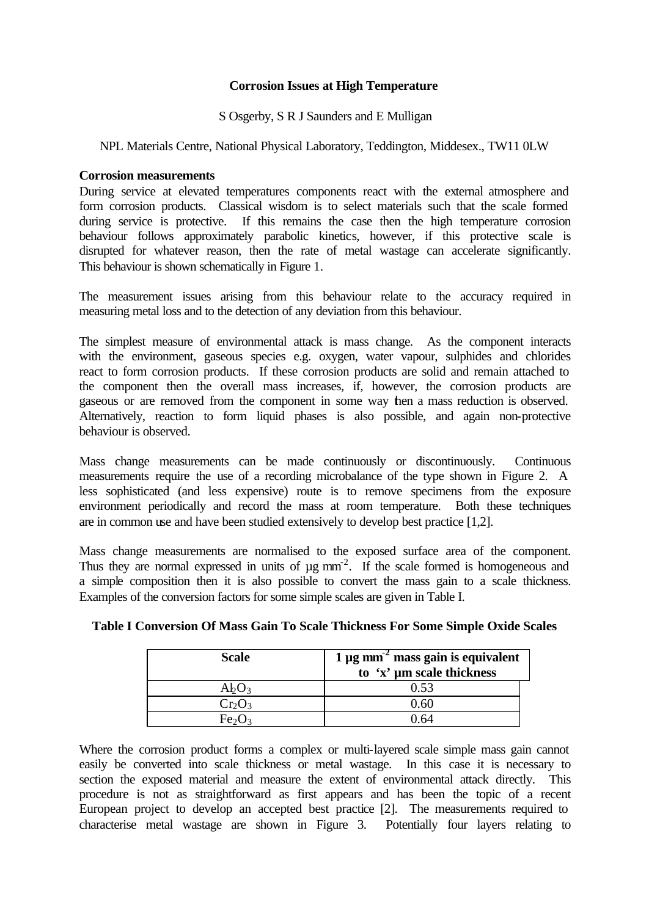## **Corrosion Issues at High Temperature**

S Osgerby, S R J Saunders and E Mulligan

## NPL Materials Centre, National Physical Laboratory, Teddington, Middesex., TW11 0LW

#### **Corrosion measurements**

During service at elevated temperatures components react with the external atmosphere and form corrosion products. Classical wisdom is to select materials such that the scale formed during service is protective. If this remains the case then the high temperature corrosion behaviour follows approximately parabolic kinetics, however, if this protective scale is disrupted for whatever reason, then the rate of metal wastage can accelerate significantly. This behaviour is shown schematically in Figure 1.

The measurement issues arising from this behaviour relate to the accuracy required in measuring metal loss and to the detection of any deviation from this behaviour.

The simplest measure of environmental attack is mass change. As the component interacts with the environment, gaseous species e.g. oxygen, water vapour, sulphides and chlorides react to form corrosion products. If these corrosion products are solid and remain attached to the component then the overall mass increases, if, however, the corrosion products are gaseous or are removed from the component in some way then a mass reduction is observed. Alternatively, reaction to form liquid phases is also possible, and again non-protective behaviour is observed.

Mass change measurements can be made continuously or discontinuously. Continuous measurements require the use of a recording microbalance of the type shown in Figure 2. A less sophisticated (and less expensive) route is to remove specimens from the exposure environment periodically and record the mass at room temperature. Both these techniques are in common use and have been studied extensively to develop best practice [1,2].

Mass change measurements are normalised to the exposed surface area of the component. Thus they are normal expressed in units of  $\mu$ g mm<sup>-2</sup>. If the scale formed is homogeneous and a simple composition then it is also possible to convert the mass gain to a scale thickness. Examples of the conversion factors for some simple scales are given in Table I.

| <b>Scale</b> | 1 $\mu$ g mm <sup>-2</sup> mass gain is equivalent |
|--------------|----------------------------------------------------|
|              | to 'x' µm scale thickness                          |
| AbO3         | 0.53                                               |
| $Cr_2O_3$    | ) હા                                               |
|              |                                                    |

# **Table I Conversion Of Mass Gain To Scale Thickness For Some Simple Oxide Scales**

Where the corrosion product forms a complex or multi-layered scale simple mass gain cannot easily be converted into scale thickness or metal wastage. In this case it is necessary to section the exposed material and measure the extent of environmental attack directly. This procedure is not as straightforward as first appears and has been the topic of a recent European project to develop an accepted best practice [2]. The measurements required to characterise metal wastage are shown in Figure 3. Potentially four layers relating to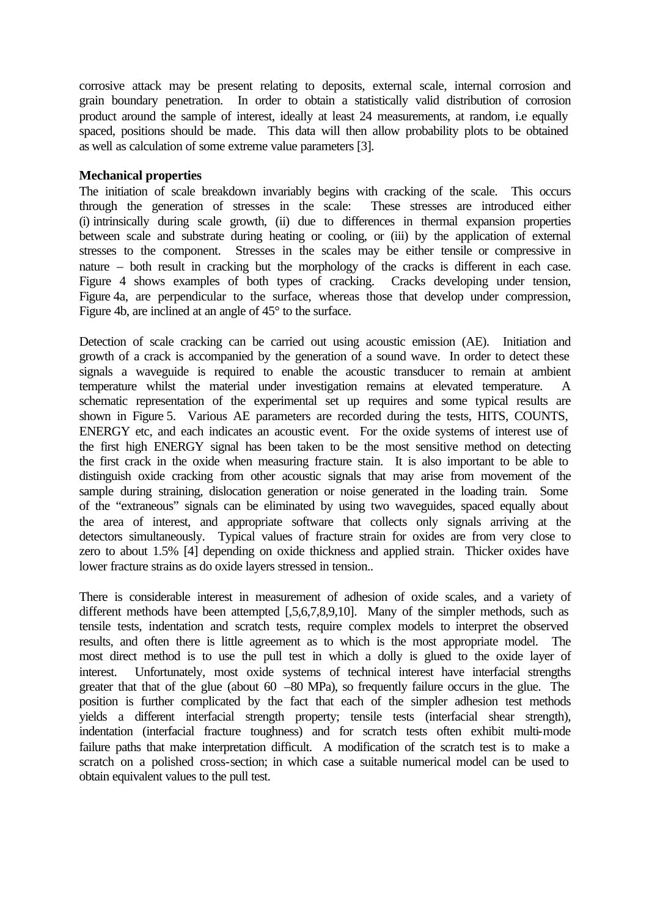corrosive attack may be present relating to deposits, external scale, internal corrosion and grain boundary penetration. In order to obtain a statistically valid distribution of corrosion product around the sample of interest, ideally at least 24 measurements, at random, i.e equally spaced, positions should be made. This data will then allow probability plots to be obtained as well as calculation of some extreme value parameters [3].

#### **Mechanical properties**

The initiation of scale breakdown invariably begins with cracking of the scale. This occurs through the generation of stresses in the scale: These stresses are introduced either (i) intrinsically during scale growth, (ii) due to differences in thermal expansion properties between scale and substrate during heating or cooling, or (iii) by the application of external stresses to the component. Stresses in the scales may be either tensile or compressive in nature – both result in cracking but the morphology of the cracks is different in each case. Figure 4 shows examples of both types of cracking. Cracks developing under tension, Figure 4a, are perpendicular to the surface, whereas those that develop under compression, Figure 4b, are inclined at an angle of 45° to the surface.

Detection of scale cracking can be carried out using acoustic emission (AE). Initiation and growth of a crack is accompanied by the generation of a sound wave. In order to detect these signals a waveguide is required to enable the acoustic transducer to remain at ambient temperature whilst the material under investigation remains at elevated temperature. A schematic representation of the experimental set up requires and some typical results are shown in Figure 5. Various AE parameters are recorded during the tests, HITS, COUNTS, ENERGY etc, and each indicates an acoustic event. For the oxide systems of interest use of the first high ENERGY signal has been taken to be the most sensitive method on detecting the first crack in the oxide when measuring fracture stain. It is also important to be able to distinguish oxide cracking from other acoustic signals that may arise from movement of the sample during straining, dislocation generation or noise generated in the loading train. Some of the "extraneous" signals can be eliminated by using two waveguides, spaced equally about the area of interest, and appropriate software that collects only signals arriving at the detectors simultaneously. Typical values of fracture strain for oxides are from very close to zero to about 1.5% [4] depending on oxide thickness and applied strain. Thicker oxides have lower fracture strains as do oxide layers stressed in tension..

There is considerable interest in measurement of adhesion of oxide scales, and a variety of different methods have been attempted [,5,6,7,8,9,10]. Many of the simpler methods, such as tensile tests, indentation and scratch tests, require complex models to interpret the observed results, and often there is little agreement as to which is the most appropriate model. The most direct method is to use the pull test in which a dolly is glued to the oxide layer of interest. Unfortunately, most oxide systems of technical interest have interfacial strengths greater that that of the glue (about  $60 - 80$  MPa), so frequently failure occurs in the glue. The position is further complicated by the fact that each of the simpler adhesion test methods yields a different interfacial strength property; tensile tests (interfacial shear strength), indentation (interfacial fracture toughness) and for scratch tests often exhibit multi-mode failure paths that make interpretation difficult. A modification of the scratch test is to make a scratch on a polished cross-section; in which case a suitable numerical model can be used to obtain equivalent values to the pull test.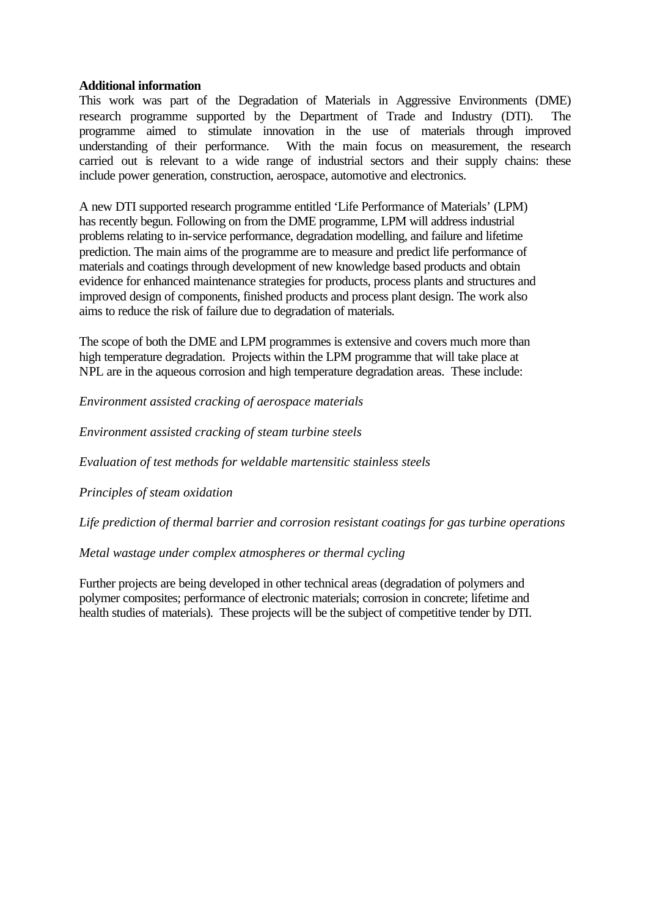#### **Additional information**

This work was part of the Degradation of Materials in Aggressive Environments (DME) research programme supported by the Department of Trade and Industry (DTI). The programme aimed to stimulate innovation in the use of materials through improved understanding of their performance. With the main focus on measurement, the research carried out is relevant to a wide range of industrial sectors and their supply chains: these include power generation, construction, aerospace, automotive and electronics.

A new DTI supported research programme entitled 'Life Performance of Materials' (LPM) has recently begun. Following on from the DME programme, LPM will address industrial problems relating to in-service performance, degradation modelling, and failure and lifetime prediction. The main aims of the programme are to measure and predict life performance of materials and coatings through development of new knowledge based products and obtain evidence for enhanced maintenance strategies for products, process plants and structures and improved design of components, finished products and process plant design. The work also aims to reduce the risk of failure due to degradation of materials.

The scope of both the DME and LPM programmes is extensive and covers much more than high temperature degradation. Projects within the LPM programme that will take place at NPL are in the aqueous corrosion and high temperature degradation areas. These include:

*Environment assisted cracking of aerospace materials*

*Environment assisted cracking of steam turbine steels*

*Evaluation of test methods for weldable martensitic stainless steels*

*Principles of steam oxidation*

*Life prediction of thermal barrier and corrosion resistant coatings for gas turbine operations*

### *Metal wastage under complex atmospheres or thermal cycling*

Further projects are being developed in other technical areas (degradation of polymers and polymer composites; performance of electronic materials; corrosion in concrete; lifetime and health studies of materials). These projects will be the subject of competitive tender by DTI.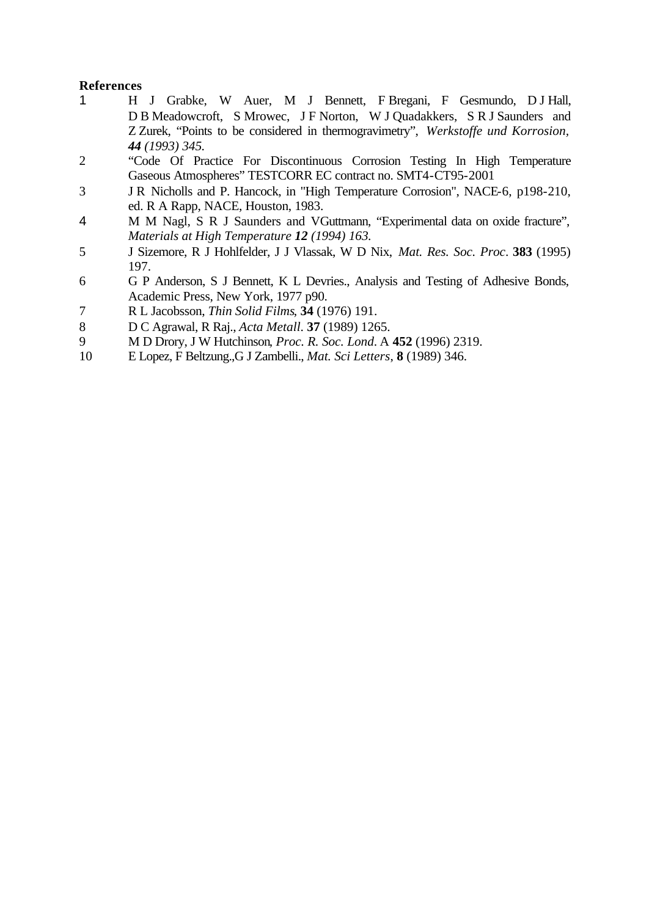# **References**

- 1 H J Grabke, W Auer, M J Bennett, F Bregani, F Gesmundo, D J Hall, D B Meadowcroft, S Mrowec, J F Norton, W J Quadakkers, S R J Saunders and Z Zurek, "Points to be considered in thermogravimetry", *Werkstoffe und Korrosion, 44 (1993) 345.*
- 2 "Code Of Practice For Discontinuous Corrosion Testing In High Temperature Gaseous Atmospheres" TESTCORR EC contract no. SMT4-CT95-2001
- 3 J R Nicholls and P. Hancock, in "High Temperature Corrosion", NACE-6, p198-210, ed. R A Rapp, NACE, Houston, 1983.
- 4 M M Nagl, S R J Saunders and VGuttmann, "Experimental data on oxide fracture", *Materials at High Temperature 12 (1994) 163.*
- 5 J Sizemore, R J Hohlfelder, J J Vlassak, W D Nix, *Mat. Res. Soc. Proc*. **383** (1995) 197.
- 6 G P Anderson, S J Bennett, K L Devries., Analysis and Testing of Adhesive Bonds, Academic Press, New York, 1977 p90.
- 7 R L Jacobsson, *Thin Solid Films*, **34** (1976) 191.
- 8 D C Agrawal, R Raj., *Acta Metall*. **37** (1989) 1265.
- 9 M D Drory, J W Hutchinson*, Proc. R. Soc. Lond*. A **452** (1996) 2319.
- 10 E Lopez, F Beltzung.,G J Zambelli., *Mat. Sci Letters*, **8** (1989) 346.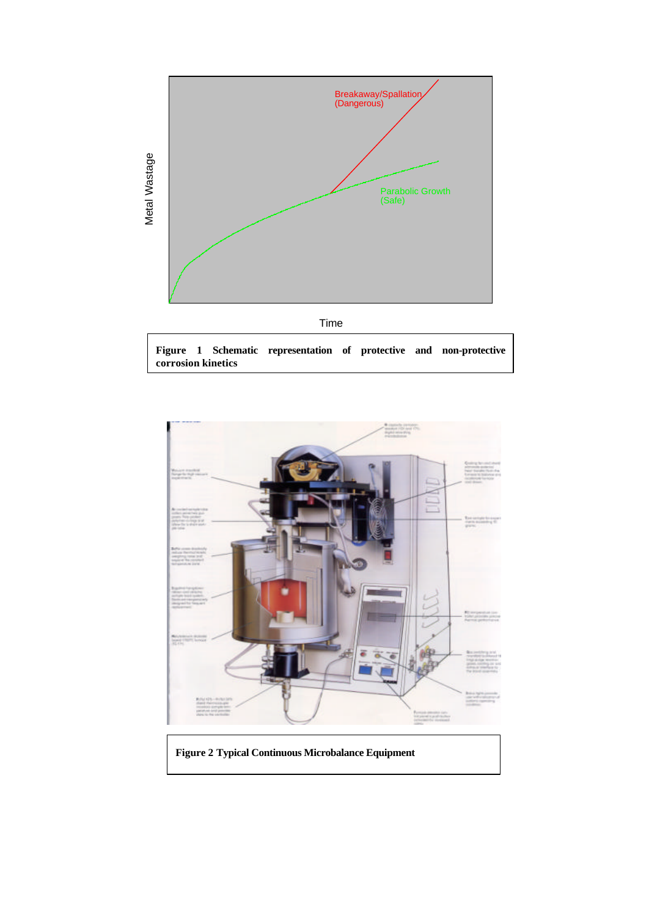



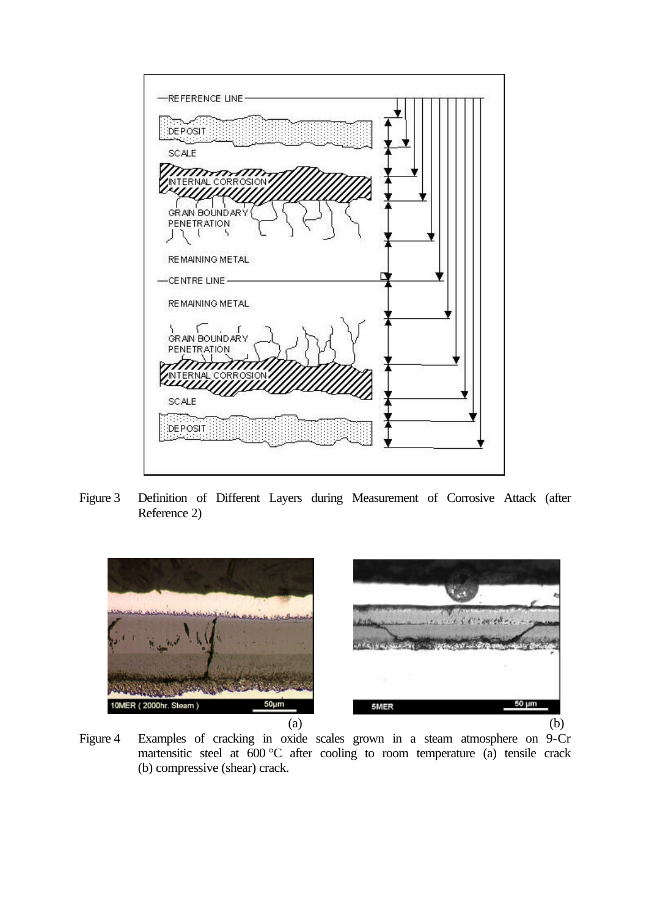

Figure 3 Definition of Different Layers during Measurement of Corrosive Attack (after Reference 2)



Figure 4 Examples of cracking in oxide scales grown in a steam atmosphere on 9-Cr martensitic steel at 600 °C after cooling to room temperature (a) tensile crack (b) compressive (shear) crack.